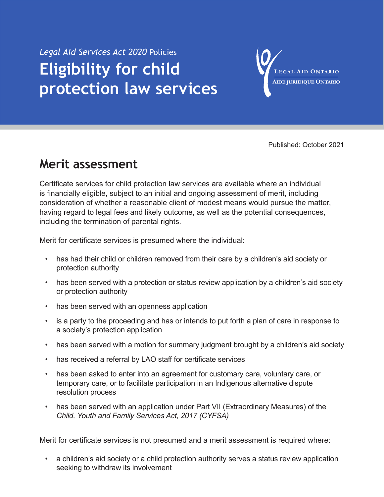## *Legal Aid Services Act 2020* Policies **Eligibility for child protection law services**

LEGAL AID ONTARIO **AIDE JURIDIQUE ONTARIO** 

Published: October 2021

## **Merit assessment**

Certificate services for child protection law services are available where an individual is financially eligible, subject to an initial and ongoing assessment of merit, including consideration of whether a reasonable client of modest means would pursue the matter, having regard to legal fees and likely outcome, as well as the potential consequences, including the termination of parental rights.

Merit for certificate services is presumed where the individual:

- has had their child or children removed from their care by a children's aid society or protection authority
- has been served with a protection or status review application by a children's aid society or protection authority
- has been served with an openness application
- is a party to the proceeding and has or intends to put forth a plan of care in response to a society's protection application
- has been served with a motion for summary judgment brought by a children's aid society
- has received a referral by LAO staff for certificate services
- has been asked to enter into an agreement for customary care, voluntary care, or temporary care, or to facilitate participation in an Indigenous alternative dispute resolution process
- has been served with an application under Part VII (Extraordinary Measures) of the *Child, Youth and Family Services Act, 2017 (CYFSA)*

Merit for certificate services is not presumed and a merit assessment is required where:

a children's aid society or a child protection authority serves a status review application seeking to withdraw its involvement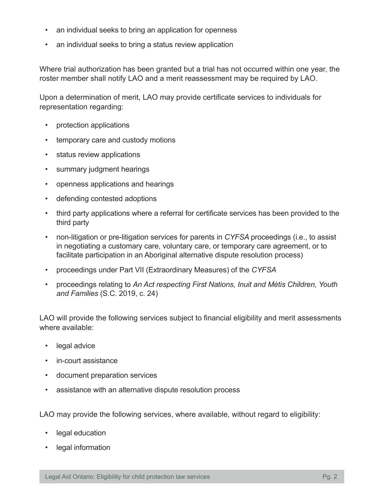- an individual seeks to bring an application for openness
- an individual seeks to bring a status review application

Where trial authorization has been granted but a trial has not occurred within one year, the roster member shall notify LAO and a merit reassessment may be required by LAO.

Upon a determination of merit, LAO may provide certificate services to individuals for representation regarding:

- protection applications
- temporary care and custody motions
- status review applications
- summary judgment hearings
- openness applications and hearings
- defending contested adoptions
- third party applications where a referral for certificate services has been provided to the third party
- non-litigation or pre-litigation services for parents in *CYFSA* proceedings (i.e., to assist in negotiating a customary care, voluntary care, or temporary care agreement, or to facilitate participation in an Aboriginal alternative dispute resolution process)
- proceedings under Part VII (Extraordinary Measures) of the *CYFSA*
- proceedings relating to *An Act respecting First Nations, Inuit and Métis Children, Youth and Families* (S.C. 2019, c. 24)

LAO will provide the following services subject to financial eligibility and merit assessments where available:

- legal advice
- in-court assistance
- document preparation services
- assistance with an alternative dispute resolution process

LAO may provide the following services, where available, without regard to eligibility:

- legal education
- legal information